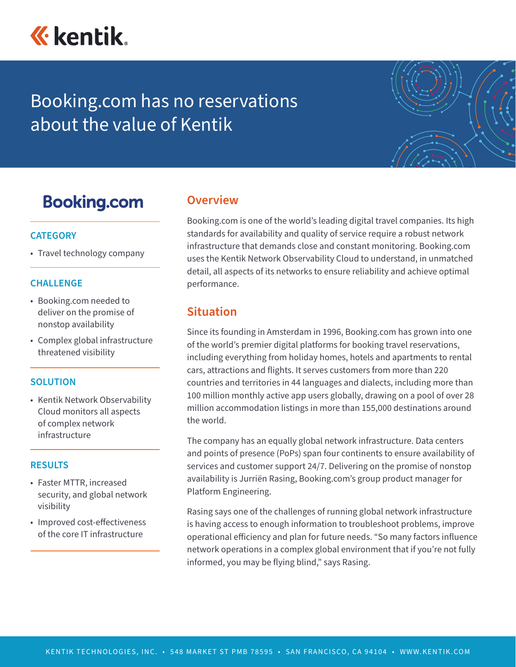

# Booking.com has no reservations about the value of Kentik



## **Booking.com**

## **CATEGORY**

• Travel technology company

### **CHALLENGE**

- Booking.com needed to deliver on the promise of nonstop availability
- Complex global infrastructure threatened visibility

#### **SOLUTION**

• Kentik Network Observability Cloud monitors all aspects of complex network infrastructure

#### **RESULTS**

- Faster MTTR, increased security, and global network visibility
- Improved cost-effectiveness of the core IT infrastructure

## **Overview**

Booking.com is one of the world's leading digital travel companies. Its high standards for availability and quality of service require a robust network infrastructure that demands close and constant monitoring. Booking.com uses the Kentik Network Observability Cloud to understand, in unmatched detail, all aspects of its networks to ensure reliability and achieve optimal performance.

## **Situation**

Since its founding in Amsterdam in 1996, Booking.com has grown into one of the world's premier digital platforms for booking travel reservations, including everything from holiday homes, hotels and apartments to rental cars, attractions and flights. It serves customers from more than 220 countries and territories in 44 languages and dialects, including more than 100 million monthly active app users globally, drawing on a pool of over 28 million accommodation listings in more than 155,000 destinations around the world.

The company has an equally global network infrastructure. Data centers and points of presence (PoPs) span four continents to ensure availability of services and customer support 24/7. Delivering on the promise of nonstop availability is Jurriën Rasing, Booking.com's group product manager for Platform Engineering.

Rasing says one of the challenges of running global network infrastructure is having access to enough information to troubleshoot problems, improve operational efficiency and plan for future needs. "So many factors influence network operations in a complex global environment that if you're not fully informed, you may be flying blind," says Rasing.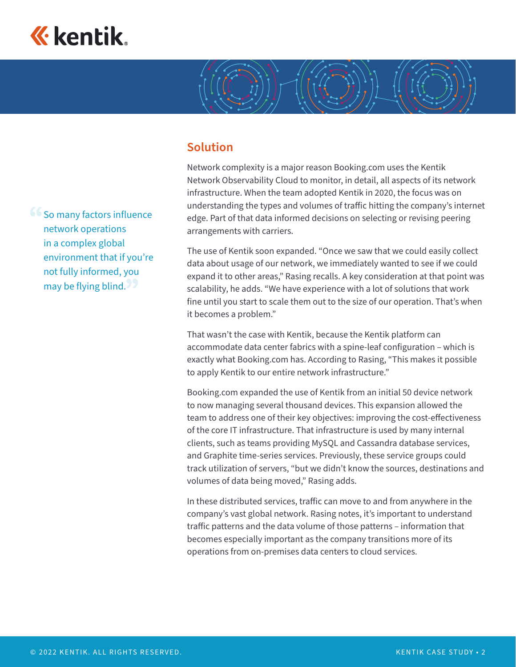

**66 So many factors influence** network operations in a complex global environment that if you're not fully informed, you

may be flying blind.

## **Solution**

Network complexity is a major reason Booking.com uses the Kentik Network Observability Cloud to monitor, in detail, all aspects of its network infrastructure. When the team adopted Kentik in 2020, the focus was on understanding the types and volumes of traffic hitting the company's internet edge. Part of that data informed decisions on selecting or revising peering arrangements with carriers.

The use of Kentik soon expanded. "Once we saw that we could easily collect data about usage of our network, we immediately wanted to see if we could expand it to other areas," Rasing recalls. A key consideration at that point was scalability, he adds. "We have experience with a lot of solutions that work fine until you start to scale them out to the size of our operation. That's when it becomes a problem."

That wasn't the case with Kentik, because the Kentik platform can accommodate data center fabrics with a spine-leaf configuration – which is exactly what Booking.com has. According to Rasing, "This makes it possible to apply Kentik to our entire network infrastructure."

Booking.com expanded the use of Kentik from an initial 50 device network to now managing several thousand devices. This expansion allowed the team to address one of their key objectives: improving the cost-effectiveness of the core IT infrastructure. That infrastructure is used by many internal clients, such as teams providing MySQL and Cassandra database services, and Graphite time-series services. Previously, these service groups could track utilization of servers, "but we didn't know the sources, destinations and volumes of data being moved," Rasing adds.

In these distributed services, traffic can move to and from anywhere in the company's vast global network. Rasing notes, it's important to understand traffic patterns and the data volume of those patterns – information that becomes especially important as the company transitions more of its operations from on-premises data centers to cloud services.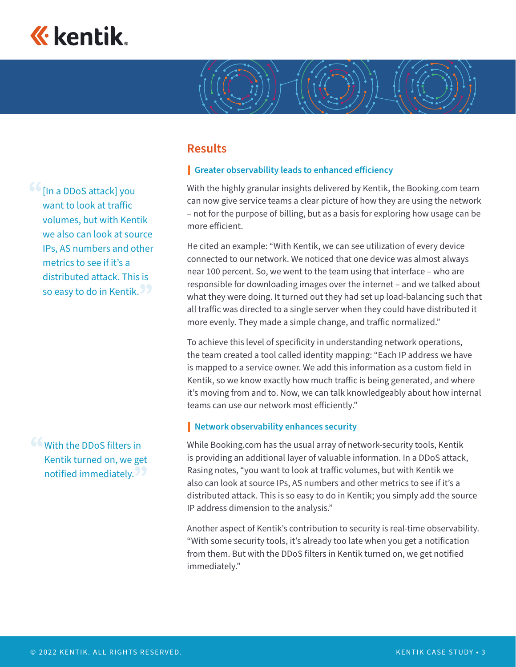

 $66$ [In a DDoS attack] you want to look at traffic volumes, but with Kentik we also can look at source IPs, AS numbers and other metrics to see if it's a distributed attack. This is so easy to do in Kentik.

With the DDoS filters in Kentik turned on, we get notified immediately.

## **Results**

### **Greater observability leads to enhanced efficiency**

With the highly granular insights delivered by Kentik, the Booking.com team can now give service teams a clear picture of how they are using the network – not for the purpose of billing, but as a basis for exploring how usage can be more efficient.

He cited an example: "With Kentik, we can see utilization of every device connected to our network. We noticed that one device was almost always near 100 percent. So, we went to the team using that interface – who are responsible for downloading images over the internet – and we talked about what they were doing. It turned out they had set up load-balancing such that all traffic was directed to a single server when they could have distributed it more evenly. They made a simple change, and traffic normalized."

To achieve this level of specificity in understanding network operations, the team created a tool called identity mapping: "Each IP address we have is mapped to a service owner. We add this information as a custom field in Kentik, so we know exactly how much traffic is being generated, and where it's moving from and to. Now, we can talk knowledgeably about how internal teams can use our network most efficiently."

#### **Network observability enhances security**

While Booking.com has the usual array of network-security tools, Kentik is providing an additional layer of valuable information. In a DDoS attack, Rasing notes, "you want to look at traffic volumes, but with Kentik we also can look at source IPs, AS numbers and other metrics to see if it's a distributed attack. This is so easy to do in Kentik; you simply add the source IP address dimension to the analysis."

Another aspect of Kentik's contribution to security is real-time observability. "With some security tools, it's already too late when you get a notification from them. But with the DDoS filters in Kentik turned on, we get notified immediately."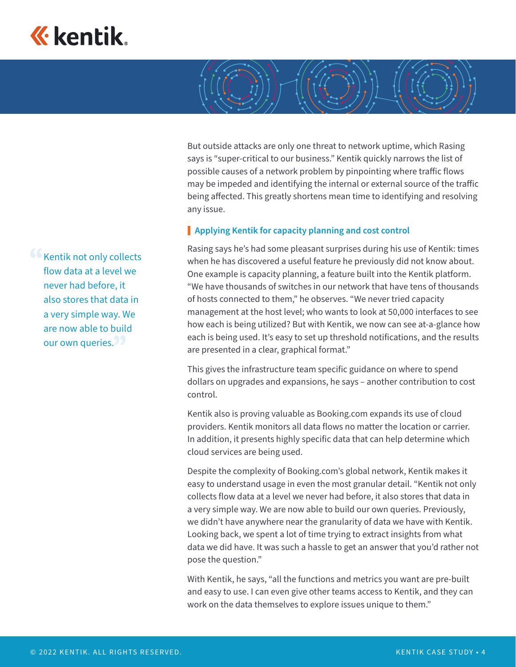

But outside attacks are only one threat to network uptime, which Rasing says is "super-critical to our business." Kentik quickly narrows the list of possible causes of a network problem by pinpointing where traffic flows may be impeded and identifying the internal or external source of the traffic being affected. This greatly shortens mean time to identifying and resolving any issue.

#### **Applying Kentik for capacity planning and cost control**

Rasing says he's had some pleasant surprises during his use of Kentik: times when he has discovered a useful feature he previously did not know about. One example is capacity planning, a feature built into the Kentik platform. "We have thousands of switches in our network that have tens of thousands of hosts connected to them," he observes. "We never tried capacity management at the host level; who wants to look at 50,000 interfaces to see how each is being utilized? But with Kentik, we now can see at-a-glance how each is being used. It's easy to set up threshold notifications, and the results are presented in a clear, graphical format."

This gives the infrastructure team specific guidance on where to spend dollars on upgrades and expansions, he says – another contribution to cost control.

Kentik also is proving valuable as Booking.com expands its use of cloud providers. Kentik monitors all data flows no matter the location or carrier. In addition, it presents highly specific data that can help determine which cloud services are being used.

Despite the complexity of Booking.com's global network, Kentik makes it easy to understand usage in even the most granular detail. "Kentik not only collects flow data at a level we never had before, it also stores that data in a very simple way. We are now able to build our own queries. Previously, we didn't have anywhere near the granularity of data we have with Kentik. Looking back, we spent a lot of time trying to extract insights from what data we did have. It was such a hassle to get an answer that you'd rather not pose the question."

With Kentik, he says, "all the functions and metrics you want are pre-built and easy to use. I can even give other teams access to Kentik, and they can work on the data themselves to explore issues unique to them."

**Kentik not only collects** flow data at a level we never had before, it also stores that data in a very simple way. We are now able to build our own queries.